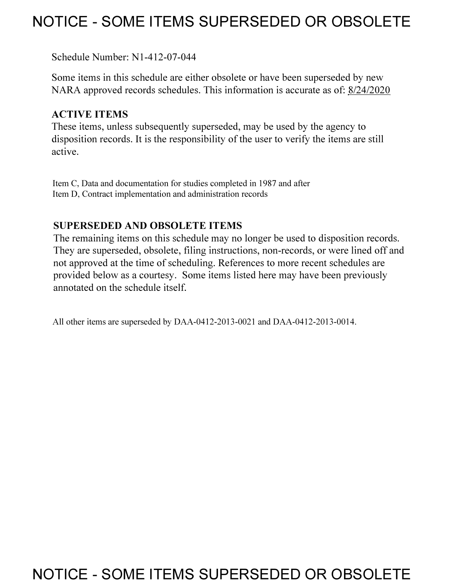# **NOTICE - SOME ITEMS SUPERSEDED OR OBSOLETE**

Schedule Number: Nl-412-07-044

Some items in this schedule are either obsolete or have been superseded by new NARA approved records schedules. This information is accurate as of: 8/24/2020

## **ACTIVE ITEMS**

These items, unless subsequently superseded, may be used by the agency to disposition records. It is the responsibility of the user to verify the items are still active.

Item C, Data and documentation for studies completed in 1987 and after Item D, Contract implementation and administration records

# **SUPERSEDED AND OBSOLETE ITEMS**

The remaining items on this schedule may no longer be used to disposition records. They are superseded, obsolete, filing instructions, non-records, or were lined off and not approved at the time of scheduling. References to more recent schedules are provided below as a courtesy. Some items listed here may have been previously annotated on the schedule itself.

All other items are superseded by DAA-0412-2013-0021 and DAA-0412-2013-0014.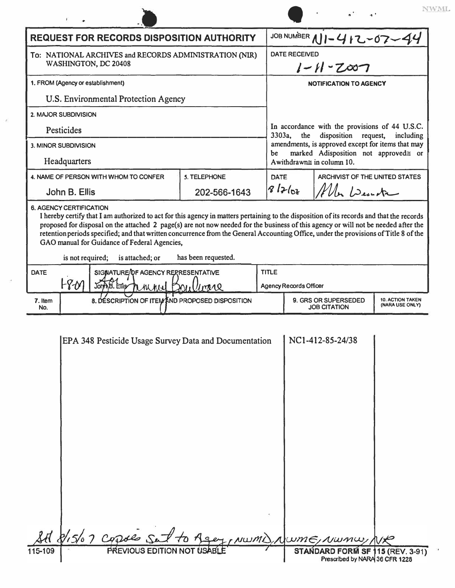| <b>REQUEST FOR RECORDS DISPOSITION AUTHORITY</b>                                                                                                                                                                                                                                                                                                                                                                                                                                                                                                                        |                                    |      | JOB NUMBER $11 - 412 - 07 - 44$                                                                                                                              |                                |                                            |  |  |
|-------------------------------------------------------------------------------------------------------------------------------------------------------------------------------------------------------------------------------------------------------------------------------------------------------------------------------------------------------------------------------------------------------------------------------------------------------------------------------------------------------------------------------------------------------------------------|------------------------------------|------|--------------------------------------------------------------------------------------------------------------------------------------------------------------|--------------------------------|--------------------------------------------|--|--|
| To: NATIONAL ARCHIVES and RECORDS ADMINISTRATION (NIR)<br>WASHINGTON, DC 20408                                                                                                                                                                                                                                                                                                                                                                                                                                                                                          |                                    |      | <b>DATE RECEIVED</b><br>$1 - 11 - 2007$                                                                                                                      |                                |                                            |  |  |
| 1. FROM (Agency or establishment)                                                                                                                                                                                                                                                                                                                                                                                                                                                                                                                                       |                                    |      | <b>NOTIFICATION TO AGENCY</b>                                                                                                                                |                                |                                            |  |  |
| U.S. Environmental Protection Agency                                                                                                                                                                                                                                                                                                                                                                                                                                                                                                                                    |                                    |      |                                                                                                                                                              |                                |                                            |  |  |
| 2. MAJOR SUBDIVISION                                                                                                                                                                                                                                                                                                                                                                                                                                                                                                                                                    |                                    |      | In accordance with the provisions of 44 U.S.C.<br>disposition request,<br>$3303a$ .<br>the<br>including<br>amendments, is approved except for items that may |                                |                                            |  |  |
| <b>Pesticides</b>                                                                                                                                                                                                                                                                                                                                                                                                                                                                                                                                                       |                                    |      |                                                                                                                                                              |                                |                                            |  |  |
| 3. MINOR SUBDIVISION                                                                                                                                                                                                                                                                                                                                                                                                                                                                                                                                                    |                                    |      |                                                                                                                                                              |                                |                                            |  |  |
| Headquarters                                                                                                                                                                                                                                                                                                                                                                                                                                                                                                                                                            |                                    |      | marked Adisposition not approved≅ or<br>be<br>A withdrawn $\cong$ in column 10.                                                                              |                                |                                            |  |  |
| 4. NAME OF PERSON WITH WHOM TO CONFER                                                                                                                                                                                                                                                                                                                                                                                                                                                                                                                                   | 5. TELEPHONE                       | DATE |                                                                                                                                                              | ARCHIVIST OF THE UNITED STATES |                                            |  |  |
| John B. Ellis                                                                                                                                                                                                                                                                                                                                                                                                                                                                                                                                                           | 202-566-1643                       |      | 81762<br>Mln Dente                                                                                                                                           |                                |                                            |  |  |
| <b>6. AGENCY CERTIFICATION</b><br>I hereby certify that I am authorized to act for this agency in matters pertaining to the disposition of its records and that the records<br>proposed for disposal on the attached 2 page(s) are not now needed for the business of this agency or will not be needed after the<br>retention periods specified; and that written concurrence from the General Accounting Office, under the provisions of Title 8 of the<br>GAO manual for Guidance of Federal Agencies,<br>has been requested.<br>is not required;<br>is attached; or |                                    |      |                                                                                                                                                              |                                |                                            |  |  |
| <b>DATE</b>                                                                                                                                                                                                                                                                                                                                                                                                                                                                                                                                                             | SIGWATURE/OF AGENCY RERRESENTATIVE |      |                                                                                                                                                              | <b>TITLE</b>                   |                                            |  |  |
| F80<br>AB. Ettis<br>Joh<br>M AN AIRI DAI                                                                                                                                                                                                                                                                                                                                                                                                                                                                                                                                | 1781Q                              |      | <b>Agency Records Officer</b>                                                                                                                                |                                |                                            |  |  |
| 8. DESCRIPTION OF ITEM AND PROPOSED DISPOSITION<br>7. Item<br>No.                                                                                                                                                                                                                                                                                                                                                                                                                                                                                                       |                                    |      | 9. GRS OR SUPERSEDED<br><b>JOB CITATION</b>                                                                                                                  |                                | <b>10. ACTION TAKEN</b><br>(NARA USE ONLY) |  |  |

 $\ensuremath{\text{NWML}}$ 

|         | EPA 348 Pesticide Usage Survey Data and Documentation | NC1-412-85-24/38                                                   |  |
|---------|-------------------------------------------------------|--------------------------------------------------------------------|--|
|         |                                                       |                                                                    |  |
|         |                                                       |                                                                    |  |
|         |                                                       |                                                                    |  |
|         |                                                       |                                                                    |  |
|         |                                                       |                                                                    |  |
|         |                                                       |                                                                    |  |
|         |                                                       |                                                                    |  |
|         |                                                       |                                                                    |  |
|         |                                                       |                                                                    |  |
|         |                                                       |                                                                    |  |
|         |                                                       |                                                                    |  |
|         |                                                       |                                                                    |  |
|         |                                                       |                                                                    |  |
|         | St 8/15/07 capies sat to Agey, NWMD, NWME, NWMW, NR   |                                                                    |  |
| 115-109 | PREVIOUS EDITION NOT USABLE                           | STANDARD FORM SF 115 (REV. 3-91)<br>Prescribed by NARA 36 CFR 1228 |  |
|         |                                                       |                                                                    |  |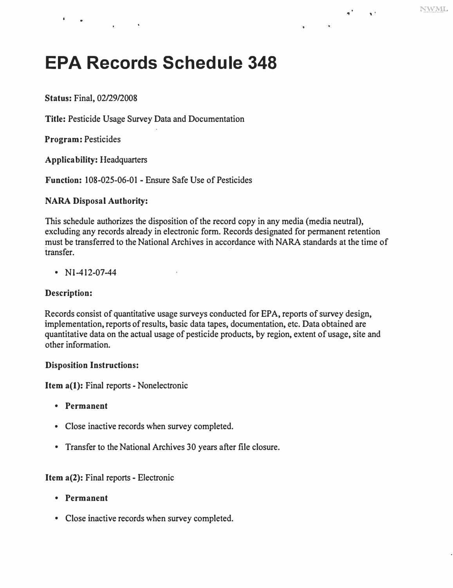$\gamma^{\star}$ 

 $\sim 30$ 

# **EPA Records Schedule 348**

**Status:** Final, 02/29/2008

**Title:** Pesticide Usage Survey Data and Documentation

**Program:** Pesticides

**Applicability:** Headquarters

**Function:** 108-025-06-01 - Ensure Safe Use of Pesticides

### **NARA Disposal Authority:**

This schedule authorizes the disposition of the record copy in any media (media neutral), excluding any records already in electronic form. Records designated for permanent retention must be transferred to the National Archives in accordance with NARA standards at the time of transfer.

•  $N1-412-07-44$ 

#### **Description:**

Records consist of quantitative usage surveys conducted for EPA, reports of survey design, implementation, reports of results, basic data tapes, documentation, etc. Data obtained are quantitative data on the actual usage of pesticide products, by region, extent of usage, site and other information.

#### **Disposition Instructions:**

**Item a(l):** Final reports - Nonelectronic

- **Permanent**
- Close inactive records when survey completed.
- Transfer to the National Archives 30 years after file closure.

#### **Item a(2):** Final reports - Electronic

- **Permanent**
- Close inactive records when survey completed.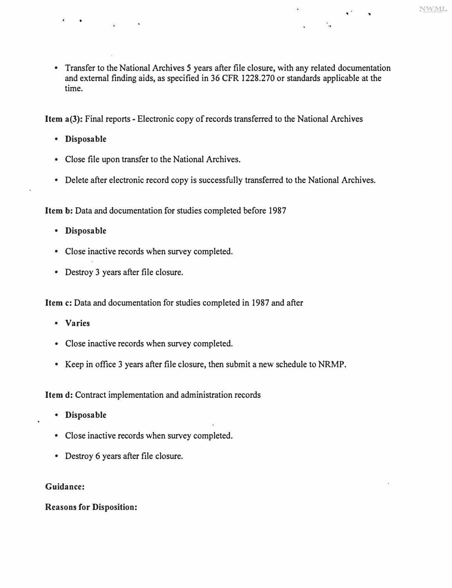$\ddot{\phantom{a}}_{\alpha}$ 

• Transfer to the National Archives *5* years after file closure, with any related documentation and external finding aids, as specified in 36 CFR 1228.270 or standards applicable at the time.

**Item a(3):** Final reports - Electronic copy of records transferred to the National Archives

**• Disposable** 

•

- Close file upon transfer to the National Archives.
- Delete after electronic record copy is successfully transferred to the National Archives.

**Item** b: Data and documentation for studies completed before 1987

- **Disposable**
- Close inactive records when survey completed.
- Destroy 3 years after file closure.

**Item c:** Data and documentation for studies completed in 1987 and after

- **Varies**
- Close inactive records when survey completed.
- Keep in office 3 years after file closure, then submit a new schedule to NRMP.

**Item d:** Contract implementation and administration records

- **Disposable**
- Close inactive records when survey completed.
- Destroy 6 years after file closure.

#### **Guidance:**

**Reasons for Disposition:**